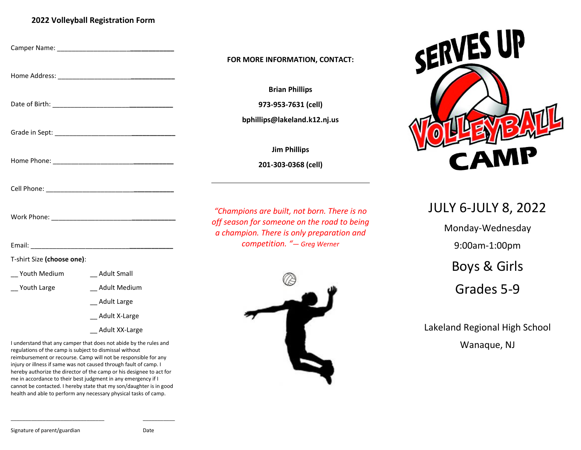# **2022 Volleyball Registration Form**

| __ Adult Small  |
|-----------------|
| Adult Medium    |
| _ Adult Large   |
| _ Adult X-Large |
|                 |

\_\_ Adult XX-Large

I understand that any camper that does not abide by the rules and regulations of the camp is subject to dismissal without reimbursement or recourse. Camp will not be responsible for any injury or illness if same was not caused through fault of camp. I hereby authorize the director of the camp or his designee to act for me in accordance to their best judgment in any emergency if I cannot be contacted. I hereby state that my son/daughter is in good health and able to perform any necessary physical tasks of camp.

\_\_\_\_\_\_\_\_\_\_\_\_\_\_\_\_\_\_\_\_\_\_\_\_\_\_\_\_\_\_\_\_ \_\_\_\_\_\_\_\_\_\_\_

## **FOR MORE INFORMATION, CONTACT:**

**Brian Phillips**

**973-953-7631 (cell)**

**bphillips@lakeland.k12.nj.us**

**Jim Phillips**

**201-303-0368 (cell)**

*"Champions are built, not born. There is no off season for someone on the road to being a champion. There is only preparation and competition. "— Greg Werner*





# JULY 6-JULY 8, 2022

Monday-Wednesday 9:00am-1:00pm Boys & Girls Grades 5-9

Lakeland Regional High School Wanaque, NJ